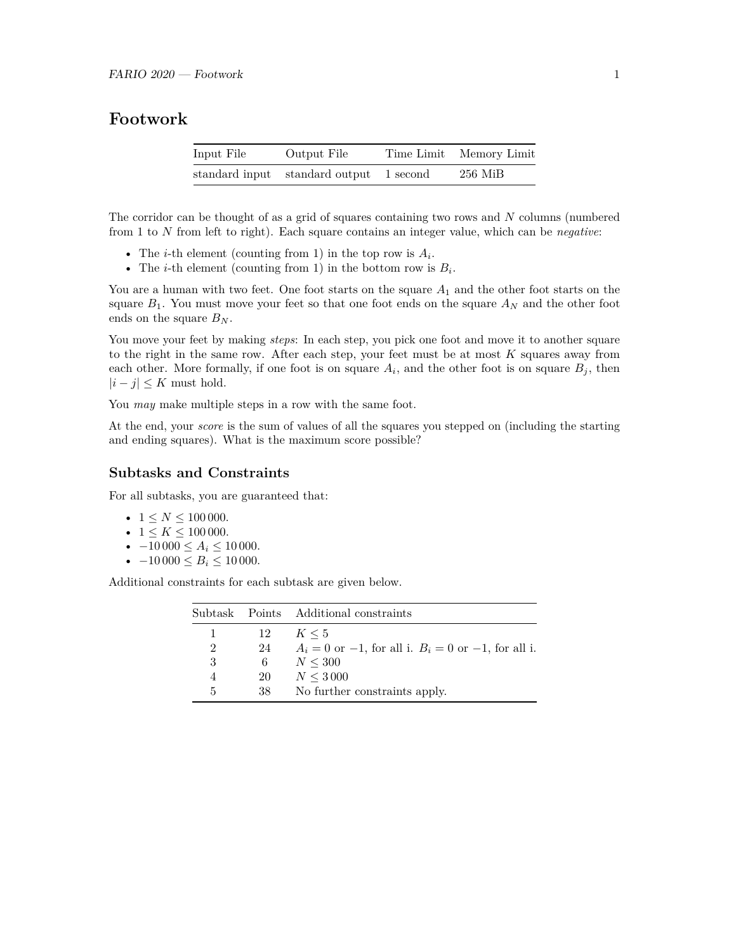# **Footwork**

| Input File | Output File                             | Time Limit Memory Limit |
|------------|-----------------------------------------|-------------------------|
|            | standard input standard output 1 second | $256$ MiB               |

The corridor can be thought of as a grid of squares containing two rows and *N* columns (numbered from 1 to *N* from left to right). Each square contains an integer value, which can be *negative*:

- The *i*-th element (counting from 1) in the top row is  $A_i$ .
- The *i*-th element (counting from 1) in the bottom row is  $B_i$ .

You are a human with two feet. One foot starts on the square *A*<sup>1</sup> and the other foot starts on the square  $B_1$ . You must move your feet so that one foot ends on the square  $A_N$  and the other foot ends on the square *B<sup>N</sup>* .

You move your feet by making *steps*: In each step, you pick one foot and move it to another square to the right in the same row. After each step, your feet must be at most *K* squares away from each other. More formally, if one foot is on square  $A_i$ , and the other foot is on square  $B_j$ , then  $|i-j|$  ≤ *K* must hold.

You *may* make multiple steps in a row with the same foot.

At the end, your *score* is the sum of values of all the squares you stepped on (including the starting and ending squares). What is the maximum score possible?

#### **Subtasks and Constraints**

For all subtasks, you are guaranteed that:

$$
\bullet \ \ 1 \le N \le 100\,000.
$$

- $1 \le K \le 100000$ .
- $-10\,000 \le A_i \le 10\,000.$
- $-10\,000 \le B_i \le 10\,000.$

Additional constraints for each subtask are given below.

|                |    | Subtask Points Additional constraints                         |
|----------------|----|---------------------------------------------------------------|
| 1              | 12 | $K \leq 5$                                                    |
| $\overline{2}$ | 24 | $A_i = 0$ or $-1$ , for all i. $B_i = 0$ or $-1$ , for all i. |
| 3              | 6  | $N \leq 300$                                                  |
| 4              | 20 | N < 3000                                                      |
| 5              | 38 | No further constraints apply.                                 |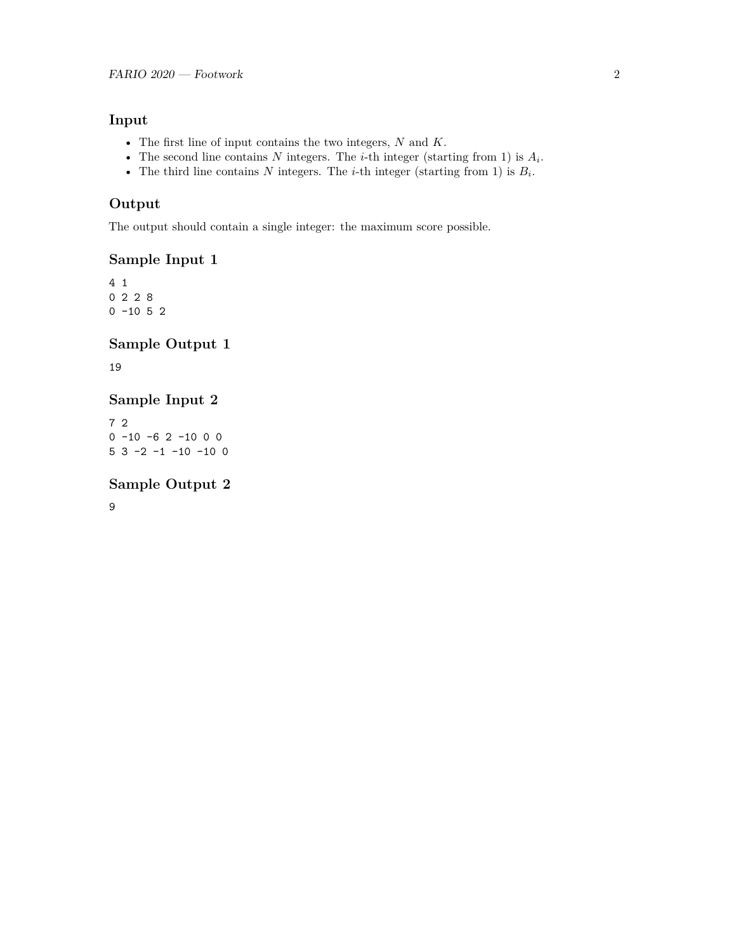### **Input**

- The first line of input contains the two integers, *N* and *K*.
- The second line contains  $N$  integers. The *i*-th integer (starting from 1) is  $A_i$ .
- The third line contains  $N$  integers. The *i*-th integer (starting from 1) is  $B_i$ .

#### **Output**

The output should contain a single integer: the maximum score possible.

## **Sample Input 1**

4 1 0 2 2 8  $0 -10 5 2$ 

**Sample Output 1**

19

## **Sample Input 2**

7 2  $0 -10 -6 2 -10 0 0$ 5 3 -2 -1 -10 -10 0

**Sample Output 2**

9